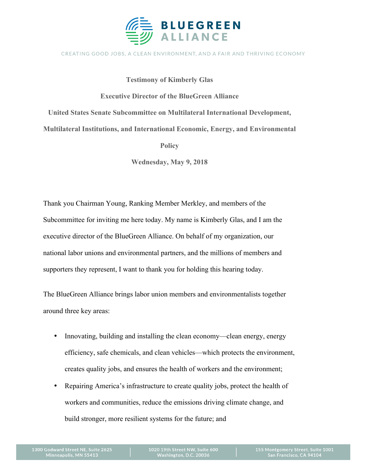

## CREATING GOOD JOBS, A CLEAN ENVIRONMENT, AND A FAIR AND THRIVING ECONOMY

**Testimony of Kimberly Glas Executive Director of the BlueGreen Alliance United States Senate Subcommittee on Multilateral International Development, Multilateral Institutions, and International Economic, Energy, and Environmental** 

**Policy** 

**Wednesday, May 9, 2018**

Thank you Chairman Young, Ranking Member Merkley, and members of the Subcommittee for inviting me here today. My name is Kimberly Glas, and I am the executive director of the BlueGreen Alliance. On behalf of my organization, our national labor unions and environmental partners, and the millions of members and supporters they represent, I want to thank you for holding this hearing today.

The BlueGreen Alliance brings labor union members and environmentalists together around three key areas:

- Innovating, building and installing the clean economy—clean energy, energy efficiency, safe chemicals, and clean vehicles—which protects the environment, creates quality jobs, and ensures the health of workers and the environment;
- Repairing America's infrastructure to create quality jobs, protect the health of workers and communities, reduce the emissions driving climate change, and build stronger, more resilient systems for the future; and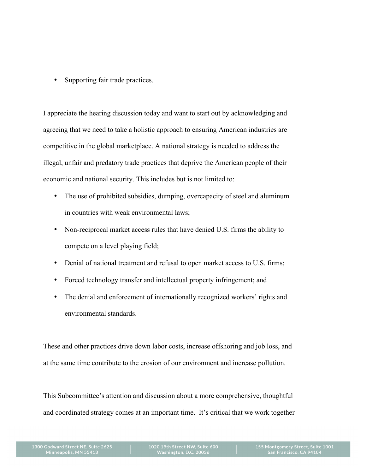• Supporting fair trade practices.

I appreciate the hearing discussion today and want to start out by acknowledging and agreeing that we need to take a holistic approach to ensuring American industries are competitive in the global marketplace. A national strategy is needed to address the illegal, unfair and predatory trade practices that deprive the American people of their economic and national security. This includes but is not limited to:

- The use of prohibited subsidies, dumping, overcapacity of steel and aluminum in countries with weak environmental laws;
- Non-reciprocal market access rules that have denied U.S. firms the ability to compete on a level playing field;
- Denial of national treatment and refusal to open market access to U.S. firms;
- Forced technology transfer and intellectual property infringement; and
- The denial and enforcement of internationally recognized workers' rights and environmental standards.

These and other practices drive down labor costs, increase offshoring and job loss, and at the same time contribute to the erosion of our environment and increase pollution.

This Subcommittee's attention and discussion about a more comprehensive, thoughtful and coordinated strategy comes at an important time. It's critical that we work together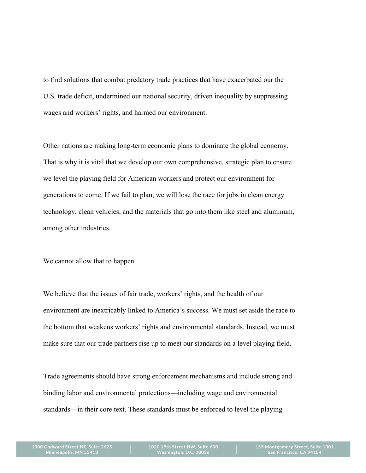to find solutions that combat predatory trade practices that have exacerbated our the U.S. trade deficit, undermined our national security, driven inequality by suppressing wages and workers' rights, and harmed our environment.

Other nations are making long-term economic plans to dominate the global economy. That is why it is vital that we develop our own comprehensive, strategic plan to ensure we level the playing field for American workers and protect our environment for generations to come. If we fail to plan, we will lose the race for jobs in clean energy technology, clean vehicles, and the materials that go into them like steel and aluminum, among other industries.

We cannot allow that to happen.

We believe that the issues of fair trade, workers' rights, and the health of our environment are inextricably linked to America's success. We must set aside the race to the bottom that weakens workers' rights and environmental standards. Instead, we must make sure that our trade partners rise up to meet our standards on a level playing field.

Trade agreements should have strong enforcement mechanisms and include strong and binding labor and environmental protections—including wage and environmental standards—in their core text. These standards must be enforced to level the playing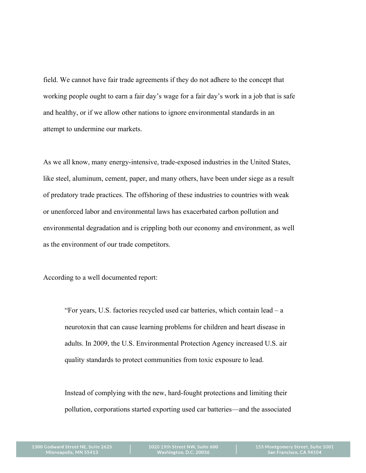field. We cannot have fair trade agreements if they do not adhere to the concept that working people ought to earn a fair day's wage for a fair day's work in a job that is safe and healthy, or if we allow other nations to ignore environmental standards in an attempt to undermine our markets.

As we all know, many energy-intensive, trade-exposed industries in the United States, like steel, aluminum, cement, paper, and many others, have been under siege as a result of predatory trade practices. The offshoring of these industries to countries with weak or unenforced labor and environmental laws has exacerbated carbon pollution and environmental degradation and is crippling both our economy and environment, as well as the environment of our trade competitors.

According to a well documented report:

"For years, U.S. factories recycled used car batteries, which contain lead – a neurotoxin that can cause learning problems for children and heart disease in adults. In 2009, the U.S. Environmental Protection Agency increased U.S. air quality standards to protect communities from toxic exposure to lead.

Instead of complying with the new, hard-fought protections and limiting their pollution, corporations started exporting used car batteries—and the associated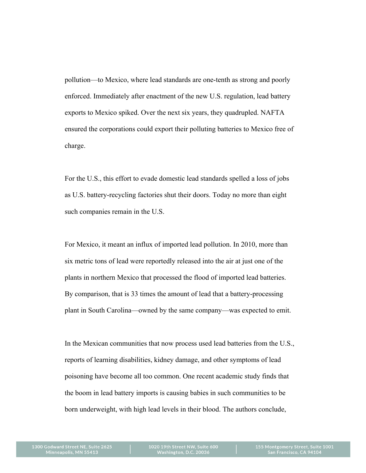pollution—to Mexico, where lead standards are one-tenth as strong and poorly enforced. Immediately after enactment of the new U.S. regulation, lead battery exports to Mexico spiked. Over the next six years, they quadrupled. NAFTA ensured the corporations could export their polluting batteries to Mexico free of charge.

For the U.S., this effort to evade domestic lead standards spelled a loss of jobs as U.S. battery-recycling factories shut their doors. Today no more than eight such companies remain in the U.S.

For Mexico, it meant an influx of imported lead pollution. In 2010, more than six metric tons of lead were reportedly released into the air at just one of the plants in northern Mexico that processed the flood of imported lead batteries. By comparison, that is 33 times the amount of lead that a battery-processing plant in South Carolina—owned by the same company—was expected to emit.

In the Mexican communities that now process used lead batteries from the U.S., reports of learning disabilities, kidney damage, and other symptoms of lead poisoning have become all too common. One recent academic study finds that the boom in lead battery imports is causing babies in such communities to be born underweight, with high lead levels in their blood. The authors conclude,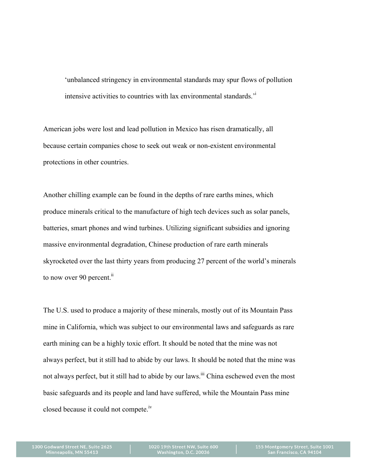'unbalanced stringency in environmental standards may spur flows of pollution intensive activities to countries with lax environmental standards.'i

American jobs were lost and lead pollution in Mexico has risen dramatically, all because certain companies chose to seek out weak or non-existent environmental protections in other countries.

Another chilling example can be found in the depths of rare earths mines, which produce minerals critical to the manufacture of high tech devices such as solar panels, batteries, smart phones and wind turbines. Utilizing significant subsidies and ignoring massive environmental degradation, Chinese production of rare earth minerals skyrocketed over the last thirty years from producing 27 percent of the world's minerals to now over 90 percent.<sup>ii</sup>

The U.S. used to produce a majority of these minerals, mostly out of its Mountain Pass mine in California, which was subject to our environmental laws and safeguards as rare earth mining can be a highly toxic effort. It should be noted that the mine was not always perfect, but it still had to abide by our laws. It should be noted that the mine was not always perfect, but it still had to abide by our laws.<sup>iii</sup> China eschewed even the most basic safeguards and its people and land have suffered, while the Mountain Pass mine closed because it could not compete.iv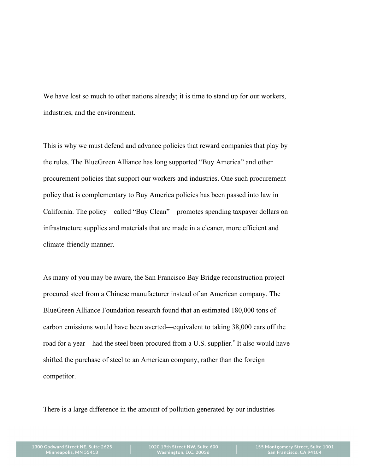We have lost so much to other nations already; it is time to stand up for our workers, industries, and the environment.

This is why we must defend and advance policies that reward companies that play by the rules. The BlueGreen Alliance has long supported "Buy America" and other procurement policies that support our workers and industries. One such procurement policy that is complementary to Buy America policies has been passed into law in California. The policy—called "Buy Clean"—promotes spending taxpayer dollars on infrastructure supplies and materials that are made in a cleaner, more efficient and climate-friendly manner.

As many of you may be aware, the San Francisco Bay Bridge reconstruction project procured steel from a Chinese manufacturer instead of an American company. The BlueGreen Alliance Foundation research found that an estimated 180,000 tons of carbon emissions would have been averted—equivalent to taking 38,000 cars off the road for a year—had the steel been procured from a U.S. supplier.<sup>v</sup> It also would have shifted the purchase of steel to an American company, rather than the foreign competitor.

There is a large difference in the amount of pollution generated by our industries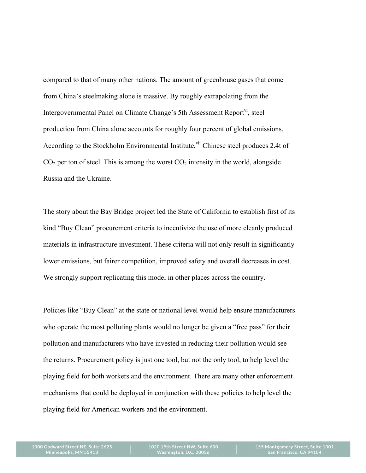compared to that of many other nations. The amount of greenhouse gases that come from China's steelmaking alone is massive. By roughly extrapolating from the Intergovernmental Panel on Climate Change's 5th Assessment Report<sup>vi</sup>, steel production from China alone accounts for roughly four percent of global emissions. According to the Stockholm Environmental Institute, <sup>vii</sup> Chinese steel produces 2.4t of  $CO<sub>2</sub>$  per ton of steel. This is among the worst  $CO<sub>2</sub>$  intensity in the world, alongside Russia and the Ukraine.

The story about the Bay Bridge project led the State of California to establish first of its kind "Buy Clean" procurement criteria to incentivize the use of more cleanly produced materials in infrastructure investment. These criteria will not only result in significantly lower emissions, but fairer competition, improved safety and overall decreases in cost. We strongly support replicating this model in other places across the country.

Policies like "Buy Clean" at the state or national level would help ensure manufacturers who operate the most polluting plants would no longer be given a "free pass" for their pollution and manufacturers who have invested in reducing their pollution would see the returns. Procurement policy is just one tool, but not the only tool, to help level the playing field for both workers and the environment. There are many other enforcement mechanisms that could be deployed in conjunction with these policies to help level the playing field for American workers and the environment.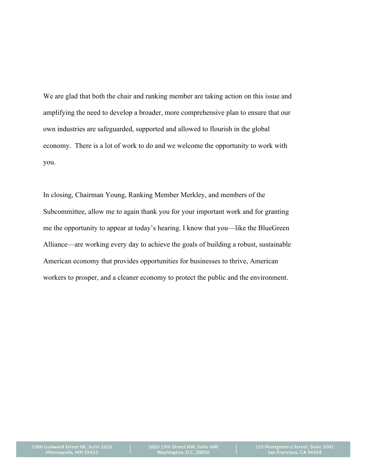We are glad that both the chair and ranking member are taking action on this issue and amplifying the need to develop a broader, more comprehensive plan to ensure that our own industries are safeguarded, supported and allowed to flourish in the global economy. There is a lot of work to do and we welcome the opportunity to work with you.

In closing, Chairman Young, Ranking Member Merkley, and members of the Subcommittee, allow me to again thank you for your important work and for granting me the opportunity to appear at today's hearing. I know that you—like the BlueGreen Alliance—are working every day to achieve the goals of building a robust, sustainable American economy that provides opportunities for businesses to thrive, American workers to prosper, and a cleaner economy to protect the public and the environment.